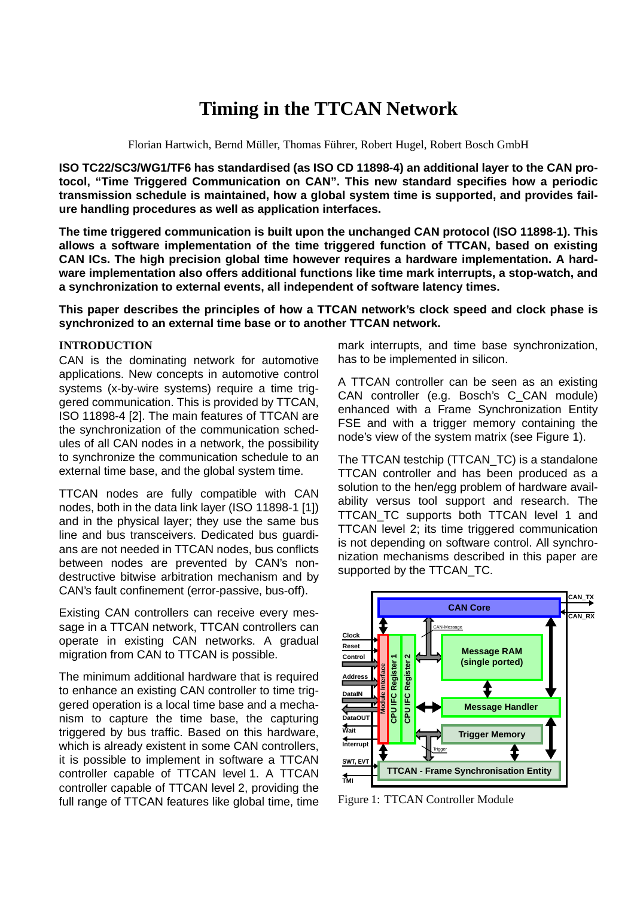# **Timing in the TTCAN Network**

Florian Hartwich, Bernd Müller, Thomas Führer, Robert Hugel, Robert Bosch GmbH

**ISO TC22/SC3/WG1/TF6 has standardised (as ISO CD 11898-4) an additional layer to the CAN protocol, "Time Triggered Communication on CAN". This new standard specifies how a periodic transmission schedule is maintained, how a global system time is supported, and provides failure handling procedures as well as application interfaces.**

**The time triggered communication is built upon the unchanged CAN protocol (ISO 11898-1). This allows a software implementation of the time triggered function of TTCAN, based on existing CAN ICs. The high precision global time however requires a hardware implementation. A hardware implementation also offers additional functions like time mark interrupts, a stop-watch, and a synchronization to external events, all independent of software latency times.**

**This paper describes the principles of how a TTCAN network's clock speed and clock phase is synchronized to an external time base or to another TTCAN network.**

#### **INTRODUCTION**

CAN is the dominating network for automotive applications. New concepts in automotive control systems (x-by-wire systems) require a time triggered communication. This is provided by TTCAN, ISO 11898-4 [\[2\]](#page-6-0). The main features of TTCAN are the synchronization of the communication schedules of all CAN nodes in a network, the possibility to synchronize the communication schedule to an external time base, and the global system time.

TTCAN nodes are fully compatible with CAN nodes, both in the data link layer (ISO 11898-1 [\[1\]\)](#page-6-1) and in the physical layer; they use the same bus line and bus transceivers. Dedicated bus guardians are not needed in TTCAN nodes, bus conflicts between nodes are prevented by CAN's nondestructive bitwise arbitration mechanism and by CAN's fault confinement (error-passive, bus-off).

Existing CAN controllers can receive every message in a TTCAN network, TTCAN controllers can operate in existing CAN networks. A gradual migration from CAN to TTCAN is possible.

The minimum additional hardware that is required to enhance an existing CAN controller to time triggered operation is a local time base and a mechanism to capture the time base, the capturing triggered by bus traffic. Based on this hardware, which is already existent in some CAN controllers, it is possible to implement in software a TTCAN controller capable of TTCAN level 1. A TTCAN controller capable of TTCAN level 2, providing the full range of TTCAN features like global time, time mark interrupts, and time base synchronization, has to be implemented in silicon.

A TTCAN controller can be seen as an existing CAN controller (e.g. Bosch's C\_CAN module) enhanced with a Frame Synchronization Entity FSE and with a trigger memory containing the node's view of the system matrix (see [Figure 1](#page-0-0)).

The TTCAN testchip (TTCAN\_TC) is a standalone TTCAN controller and has been produced as a solution to the hen/egg problem of hardware availability versus tool support and research. The TTCAN TC supports both TTCAN level 1 and TTCAN level 2; its time triggered communication is not depending on software control. All synchronization mechanisms described in this paper are supported by the TTCAN\_TC.



<span id="page-0-0"></span>Figure 1: TTCAN Controller Module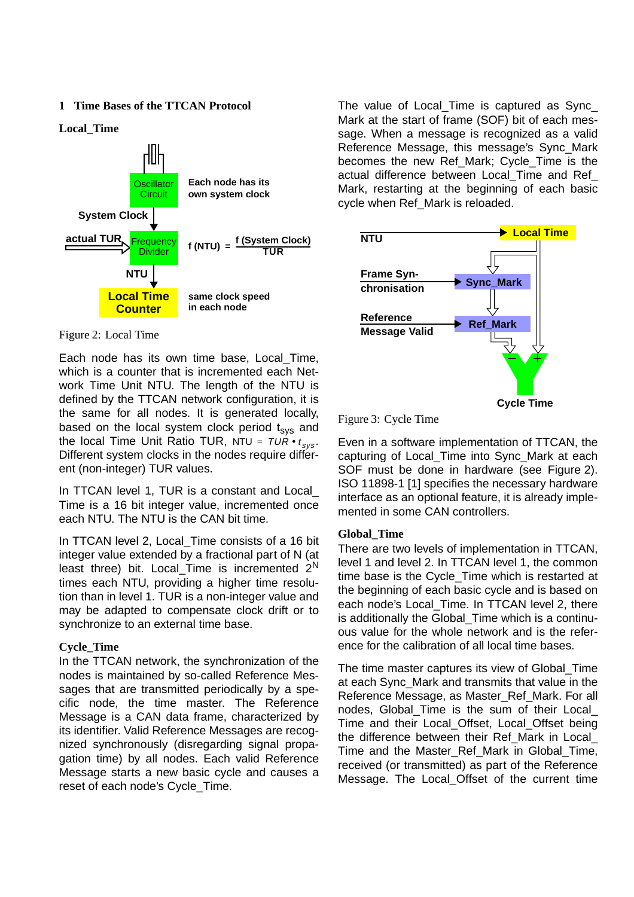#### **1 Time Bases of the TTCAN Protocol**

**Local\_Time**



Figure 2: Local Time

Each node has its own time base, Local\_Time, which is a counter that is incremented each Network Time Unit NTU. The length of the NTU is defined by the TTCAN network configuration, it is the same for all nodes. It is generated locally, based on the local system clock period  $t_{sys}$  and the local Time Unit Ratio TUR, NTU =  $\tau$ UR $\bullet$  t<sub>sys</sub>. Different system clocks in the nodes require different (non-integer) TUR values.

In TTCAN level 1, TUR is a constant and Local Time is a 16 bit integer value, incremented once each NTU. The NTU is the CAN bit time.

In TTCAN level 2, Local Time consists of a 16 bit integer value extended by a fractional part of N (at least three) bit. Local Time is incremented  $2^N$ times each NTU, providing a higher time resolution than in level 1. TUR is a non-integer value and may be adapted to compensate clock drift or to synchronize to an external time base.

#### **Cycle\_Time**

In the TTCAN network, the synchronization of the nodes is maintained by so-called Reference Messages that are transmitted periodically by a specific node, the time master. The Reference Message is a CAN data frame, characterized by its identifier. Valid Reference Messages are recognized synchronously (disregarding signal propagation time) by all nodes. Each valid Reference Message starts a new basic cycle and causes a reset of each node's Cycle\_Time.

The value of Local\_Time is captured as Sync\_ Mark at the start of frame (SOF) bit of each message. When a message is recognized as a valid Reference Message, this message's Sync\_Mark becomes the new Ref\_Mark; Cycle\_Time is the actual difference between Local\_Time and Ref\_ Mark, restarting at the beginning of each basic cycle when Ref\_Mark is reloaded.



Figure 3: Cycle Time

Even in a software implementation of TTCAN, the capturing of Local\_Time into Sync\_Mark at each SOF must be done in hardware (see Figure 2). ISO 11898-1 [1] specifies the necessary hardware interface as an optional feature, it is already implemented in some CAN controllers.

#### **Global\_Time**

There are two levels of implementation in TTCAN, level 1 and level 2. In TTCAN level 1, the common time base is the Cycle\_Time which is restarted at the beginning of each basic cycle and is based on each node's Local\_Time. In TTCAN level 2, there is additionally the Global\_Time which is a continuous value for the whole network and is the reference for the calibration of all local time bases.

The time master captures its view of Global\_Time at each Sync\_Mark and transmits that value in the Reference Message, as Master\_Ref\_Mark. For all nodes, Global Time is the sum of their Local Time and their Local\_Offset, Local\_Offset being the difference between their Ref\_Mark in Local\_ Time and the Master Ref Mark in Global Time, received (or transmitted) as part of the Reference Message. The Local\_Offset of the current time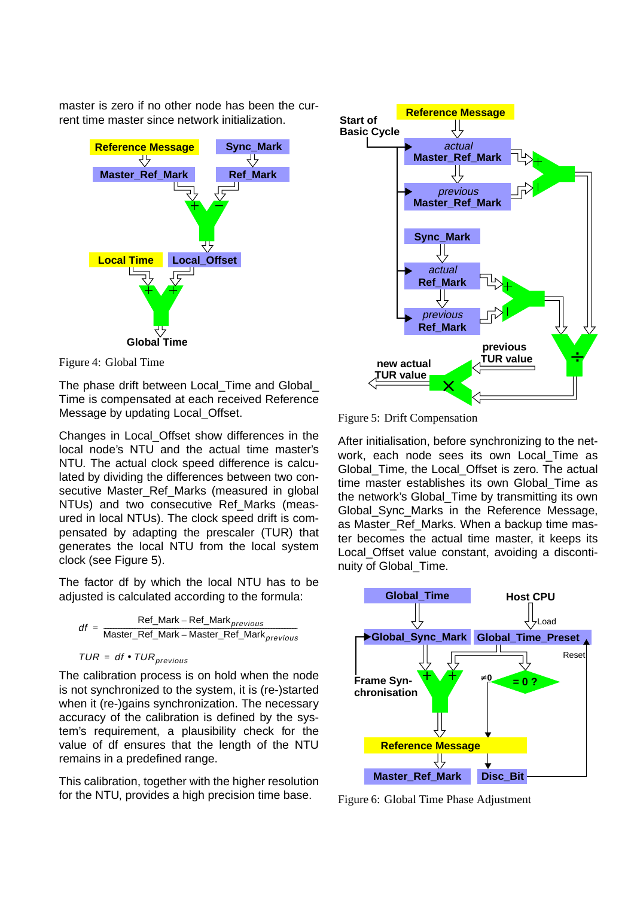master is zero if no other node has been the current time master since network initialization.



Figure 4: Global Time

The phase drift between Local Time and Global Time is compensated at each received Reference Message by updating Local\_Offset.

Changes in Local\_Offset show differences in the local node's NTU and the actual time master's NTU. The actual clock speed difference is calculated by dividing the differences between two consecutive Master Ref Marks (measured in global NTUs) and two consecutive Ref Marks (measured in local NTUs). The clock speed drift is compensated by adapting the prescaler (TUR) that generates the local NTU from the local system clock (see [Figure 5](#page-2-0)).

The factor df by which the local NTU has to be adjusted is calculated according to the formula:



$$
TUR = df \bullet TUR_{previous}
$$

The calibration process is on hold when the node is not synchronized to the system, it is (re-)started when it (re-)gains synchronization. The necessary accuracy of the calibration is defined by the system's requirement, a plausibility check for the value of df ensures that the length of the NTU remains in a predefined range.

This calibration, together with the higher resolution for the NTU, provides a high precision time base.



<span id="page-2-0"></span>Figure 5: Drift Compensation

After initialisation, before synchronizing to the network, each node sees its own Local\_Time as Global Time, the Local Offset is zero. The actual time master establishes its own Global\_Time as the network's Global\_Time by transmitting its own Global\_Sync\_Marks in the Reference Message, as Master Ref Marks. When a backup time master becomes the actual time master, it keeps its Local Offset value constant, avoiding a discontinuity of Global\_Time.



<span id="page-2-1"></span>Figure 6: Global Time Phase Adjustment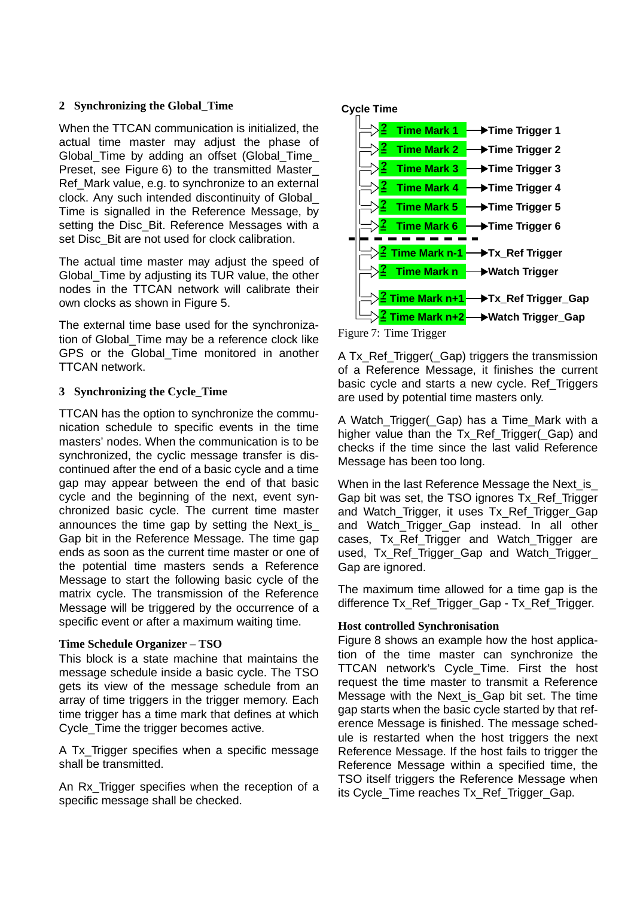## **2 Synchronizing the Global\_Time**

When the TTCAN communication is initialized, the actual time master may adjust the phase of Global Time by adding an offset (Global Time Preset, see [Figure 6\)](#page-2-1) to the transmitted Master\_ Ref\_Mark value, e.g. to synchronize to an external clock. Any such intended discontinuity of Global\_ Time is signalled in the Reference Message, by setting the Disc\_Bit. Reference Messages with a set Disc\_Bit are not used for clock calibration.

The actual time master may adjust the speed of Global Time by adjusting its TUR value, the other nodes in the TTCAN network will calibrate their own clocks as shown in [Figure 5](#page-2-0).

The external time base used for the synchronization of Global\_Time may be a reference clock like GPS or the Global Time monitored in another TTCAN network.

## **3 Synchronizing the Cycle\_Time**

TTCAN has the option to synchronize the communication schedule to specific events in the time masters' nodes. When the communication is to be synchronized, the cyclic message transfer is discontinued after the end of a basic cycle and a time gap may appear between the end of that basic cycle and the beginning of the next, event synchronized basic cycle. The current time master announces the time gap by setting the Next\_is\_ Gap bit in the Reference Message. The time gap ends as soon as the current time master or one of the potential time masters sends a Reference Message to start the following basic cycle of the matrix cycle. The transmission of the Reference Message will be triggered by the occurrence of a specific event or after a maximum waiting time.

# **Time Schedule Organizer – TSO**

This block is a state machine that maintains the message schedule inside a basic cycle. The TSO gets its view of the message schedule from an array of time triggers in the trigger memory. Each time trigger has a time mark that defines at which Cycle Time the trigger becomes active.

A Tx Trigger specifies when a specific message shall be transmitted.

An Rx\_Trigger specifies when the reception of a specific message shall be checked.

# **Cycle Time**



Figure 7: Time Trigger

A Tx\_Ref\_Trigger(\_Gap) triggers the transmission of a Reference Message, it finishes the current basic cycle and starts a new cycle. Ref\_Triggers are used by potential time masters only.

A Watch Trigger( Gap) has a Time Mark with a higher value than the Tx Ref Trigger( Gap) and checks if the time since the last valid Reference Message has been too long.

When in the last Reference Message the Next\_is\_ Gap bit was set, the TSO ignores Tx\_Ref\_Trigger and Watch\_Trigger, it uses Tx\_Ref\_Trigger\_Gap and Watch Trigger Gap instead. In all other cases, Tx Ref Trigger and Watch Trigger are used, Tx\_Ref\_Trigger\_Gap and Watch\_Trigger\_ Gap are ignored.

The maximum time allowed for a time gap is the difference Tx\_Ref\_Trigger\_Gap - Tx\_Ref\_Trigger.

# **Host controlled Synchronisation**

[Figure 8](#page-4-0) shows an example how the host application of the time master can synchronize the TTCAN network's Cycle\_Time. First the host request the time master to transmit a Reference Message with the Next is Gap bit set. The time gap starts when the basic cycle started by that reference Message is finished. The message schedule is restarted when the host triggers the next Reference Message. If the host fails to trigger the Reference Message within a specified time, the TSO itself triggers the Reference Message when its Cycle\_Time reaches Tx\_Ref\_Trigger\_Gap.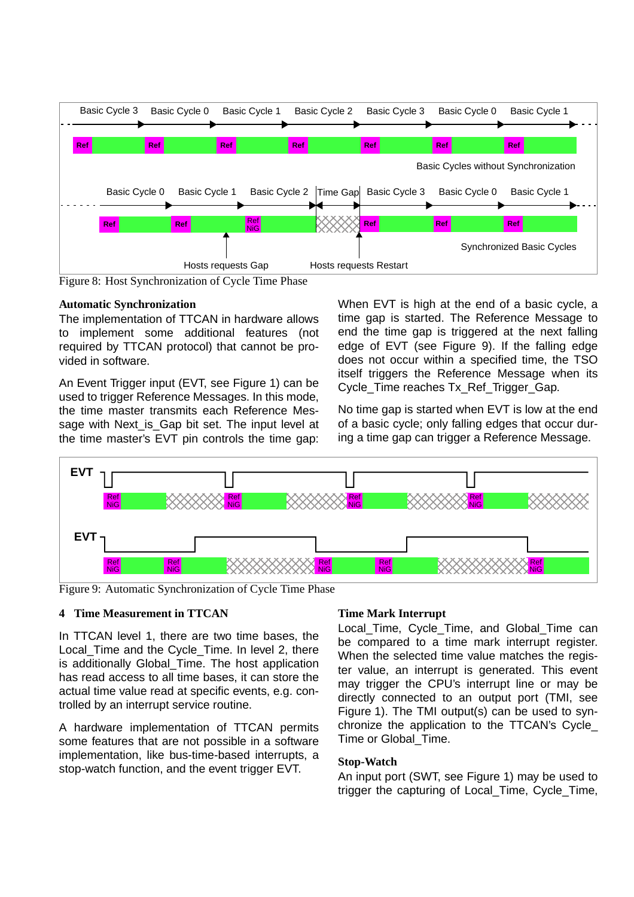

<span id="page-4-0"></span>Figure 8: Host Synchronization of Cycle Time Phase

#### **Automatic Synchronization**

The implementation of TTCAN in hardware allows to implement some additional features (not required by TTCAN protocol) that cannot be provided in software.

An Event Trigger input (EVT, see [Figure 1](#page-0-0)) can be used to trigger Reference Messages. In this mode, the time master transmits each Reference Message with Next is Gap bit set. The input level at the time master's EVT pin controls the time gap: When EVT is high at the end of a basic cycle, a time gap is started. The Reference Message to end the time gap is triggered at the next falling edge of EVT (see [Figure 9](#page-4-1)). If the falling edge does not occur within a specified time, the TSO itself triggers the Reference Message when its Cycle\_Time reaches Tx\_Ref\_Trigger\_Gap.

No time gap is started when EVT is low at the end of a basic cycle; only falling edges that occur during a time gap can trigger a Reference Message.



<span id="page-4-1"></span>Figure 9: Automatic Synchronization of Cycle Time Phase

#### **4 Time Measurement in TTCAN**

In TTCAN level 1, there are two time bases, the Local Time and the Cycle Time. In level 2, there is additionally Global Time. The host application has read access to all time bases, it can store the actual time value read at specific events, e.g. controlled by an interrupt service routine.

A hardware implementation of TTCAN permits some features that are not possible in a software implementation, like bus-time-based interrupts, a stop-watch function, and the event trigger EVT.

#### **Time Mark Interrupt**

Local\_Time, Cycle\_Time, and Global\_Time can be compared to a time mark interrupt register. When the selected time value matches the register value, an interrupt is generated. This event may trigger the CPU's interrupt line or may be directly connected to an output port (TMI, see [Figure 1\)](#page-0-0). The TMI output(s) can be used to synchronize the application to the TTCAN's Cycle\_ Time or Global\_Time.

#### **Stop-Watch**

An input port (SWT, see Figure 1) may be used to trigger the capturing of Local\_Time, Cycle\_Time,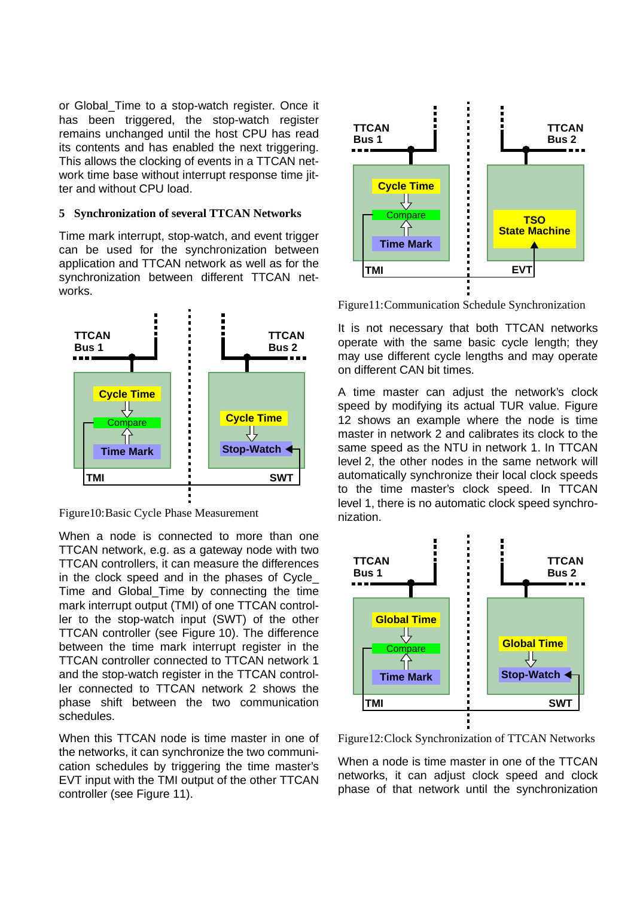or Global\_Time to a stop-watch register. Once it has been triggered, the stop-watch register remains unchanged until the host CPU has read its contents and has enabled the next triggering. This allows the clocking of events in a TTCAN network time base without interrupt response time iitter and without CPU load.

#### **5 Synchronization of several TTCAN Networks**

Time mark interrupt, stop-watch, and event trigger can be used for the synchronization between application and TTCAN network as well as for the synchronization between different TTCAN networks.



<span id="page-5-0"></span>Figure10:Basic Cycle Phase Measurement

When a node is connected to more than one TTCAN network, e.g. as a gateway node with two TTCAN controllers, it can measure the differences in the clock speed and in the phases of Cycle\_ Time and Global Time by connecting the time mark interrupt output (TMI) of one TTCAN controller to the stop-watch input (SWT) of the other TTCAN controller (see [Figure 10](#page-5-0)). The difference between the time mark interrupt register in the TTCAN controller connected to TTCAN network 1 and the stop-watch register in the TTCAN controller connected to TTCAN network 2 shows the phase shift between the two communication schedules.

When this TTCAN node is time master in one of the networks, it can synchronize the two communication schedules by triggering the time master's EVT input with the TMI output of the other TTCAN controller (see [Figure 11\)](#page-5-1).



<span id="page-5-1"></span>Figure11:Communication Schedule Synchronization

It is not necessary that both TTCAN networks operate with the same basic cycle length; they may use different cycle lengths and may operate on different CAN bit times.

A time master can adjust the network's clock speed by modifying its actual TUR value. [Figure](#page-5-2) [12](#page-5-2) shows an example where the node is time master in network 2 and calibrates its clock to the same speed as the NTU in network 1. In TTCAN level 2, the other nodes in the same network will automatically synchronize their local clock speeds to the time master's clock speed. In TTCAN level 1, there is no automatic clock speed synchronization.



<span id="page-5-2"></span>Figure12:Clock Synchronization of TTCAN Networks

When a node is time master in one of the TTCAN networks, it can adjust clock speed and clock phase of that network until the synchronization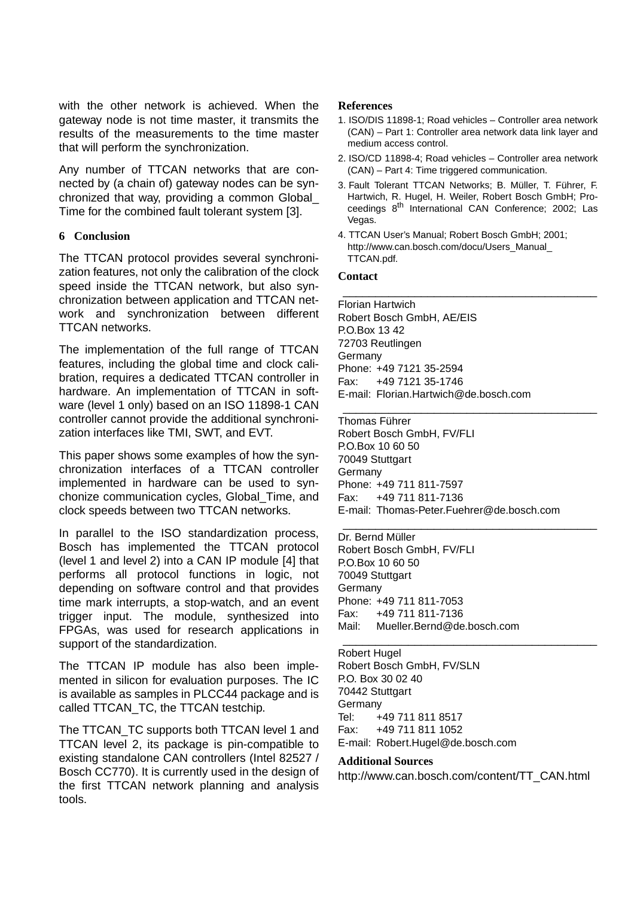with the other network is achieved. When the gateway node is not time master, it transmits the results of the measurements to the time master that will perform the synchronization.

Any number of TTCAN networks that are connected by (a chain of) gateway nodes can be synchronized that way, providing a common Global\_ Time for the combined fault tolerant system [\[3\].](#page-6-3)

## **6 Conclusion**

The TTCAN protocol provides several synchronization features, not only the calibration of the clock speed inside the TTCAN network, but also synchronization between application and TTCAN network and synchronization between different TTCAN networks.

The implementation of the full range of TTCAN features, including the global time and clock calibration, requires a dedicated TTCAN controller in hardware. An implementation of TTCAN in software (level 1 only) based on an ISO 11898-1 CAN controller cannot provide the additional synchronization interfaces like TMI, SWT, and EVT.

This paper shows some examples of how the synchronization interfaces of a TTCAN controller implemented in hardware can be used to synchonize communication cycles, Global\_Time, and clock speeds between two TTCAN networks.

In parallel to the ISO standardization process, Bosch has implemented the TTCAN protocol (level 1 and level 2) into a CAN IP module [\[4\]](#page-6-2) that performs all protocol functions in logic, not depending on software control and that provides time mark interrupts, a stop-watch, and an event trigger input. The module, synthesized into FPGAs, was used for research applications in support of the standardization.

The TTCAN IP module has also been implemented in silicon for evaluation purposes. The IC is available as samples in PLCC44 package and is called TTCAN\_TC, the TTCAN testchip.

The TTCAN\_TC supports both TTCAN level 1 and TTCAN level 2, its package is pin-compatible to existing standalone CAN controllers (Intel 82527 / Bosch CC770). It is currently used in the design of the first TTCAN network planning and analysis tools.

# **References**

- <span id="page-6-1"></span>1. ISO/DIS 11898-1; Road vehicles – Controller area network (CAN) – Part 1: Controller area network data link layer and medium access control.
- <span id="page-6-0"></span>2. ISO/CD 11898-4; Road vehicles – Controller area network (CAN) – Part 4: Time triggered communication.
- <span id="page-6-3"></span>3. Fault Tolerant TTCAN Networks; B. Müller, T. Führer, F. Hartwich, R. Hugel, H. Weiler, Robert Bosch GmbH; Proceedings 8<sup>th</sup> International CAN Conference; 2002; Las Vegas.

\_\_\_\_\_\_\_\_\_\_\_\_\_\_\_\_\_\_\_\_\_\_\_\_\_\_\_\_\_\_\_\_\_\_\_\_\_\_\_

\_\_\_\_\_\_\_\_\_\_\_\_\_\_\_\_\_\_\_\_\_\_\_\_\_\_\_\_\_\_\_\_\_\_\_\_\_\_\_

\_\_\_\_\_\_\_\_\_\_\_\_\_\_\_\_\_\_\_\_\_\_\_\_\_\_\_\_\_\_\_\_\_\_\_\_\_\_\_

\_\_\_\_\_\_\_\_\_\_\_\_\_\_\_\_\_\_\_\_\_\_\_\_\_\_\_\_\_\_\_\_\_\_\_\_\_\_\_

<span id="page-6-2"></span>4. TTCAN User's Manual; Robert Bosch GmbH; 2001; http://www.can.bosch.com/docu/Users\_Manual\_ TTCAN.pdf.

#### **Contact**

Florian Hartwich Robert Bosch GmbH, AE/EIS P.O.Box 13 42 72703 Reutlingen Germany Phone: +49 7121 35-2594 Fax: +49 7121 35-1746 E-mail: Florian.Hartwich@de.bosch.com

Thomas Führer Robert Bosch GmbH, FV/FLI P.O.Box 10 60 50 70049 Stuttgart **Germany** Phone: +49 711 811-7597 Fax: +49 711 811-7136 E-mail: Thomas-Peter.Fuehrer@de.bosch.com

Dr. Bernd Müller Robert Bosch GmbH, FV/FLI P.O.Box 10 60 50 70049 Stuttgart **Germany** Phone: +49 711 811-7053 Fax: +49 711 811-7136 Mail: Mueller.Bernd@de.bosch.com

#### Robert Hugel

Robert Bosch GmbH, FV/SLN P.O. Box 30 02 40 70442 Stuttgart Germany Tel: +49 711 811 8517 Fax: +49 711 811 1052 E-mail: Robert.Hugel@de.bosch.com

#### **Additional Sources**

http://www.can.bosch.com/content/TT\_CAN.html